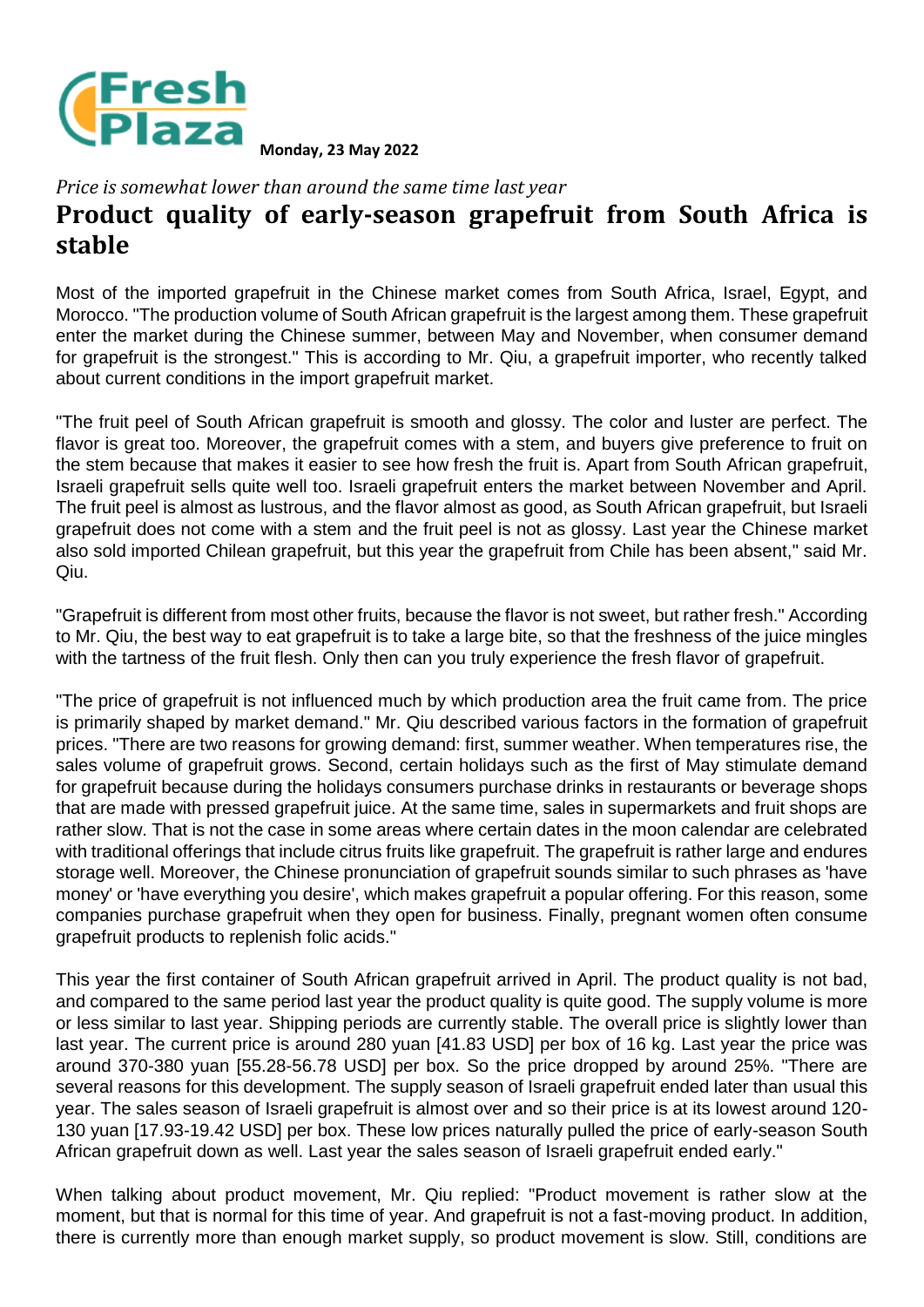

**Monday, 23 May 2022**

*Price is somewhat lower than around the same time last year*

## **Product quality of early-season grapefruit from South Africa is stable**

Most of the imported grapefruit in the Chinese market comes from South Africa, Israel, Egypt, and Morocco. "The production volume of South African grapefruit is the largest among them. These grapefruit enter the market during the Chinese summer, between May and November, when consumer demand for grapefruit is the strongest." This is according to Mr. Qiu, a grapefruit importer, who recently talked about current conditions in the import grapefruit market.

"The fruit peel of South African grapefruit is smooth and glossy. The color and luster are perfect. The flavor is great too. Moreover, the grapefruit comes with a stem, and buyers give preference to fruit on the stem because that makes it easier to see how fresh the fruit is. Apart from South African grapefruit, Israeli grapefruit sells quite well too. Israeli grapefruit enters the market between November and April. The fruit peel is almost as lustrous, and the flavor almost as good, as South African grapefruit, but Israeli grapefruit does not come with a stem and the fruit peel is not as glossy. Last year the Chinese market also sold imported Chilean grapefruit, but this year the grapefruit from Chile has been absent," said Mr. Qiu.

"Grapefruit is different from most other fruits, because the flavor is not sweet, but rather fresh." According to Mr. Qiu, the best way to eat grapefruit is to take a large bite, so that the freshness of the juice mingles with the tartness of the fruit flesh. Only then can you truly experience the fresh flavor of grapefruit.

"The price of grapefruit is not influenced much by which production area the fruit came from. The price is primarily shaped by market demand." Mr. Qiu described various factors in the formation of grapefruit prices. "There are two reasons for growing demand: first, summer weather. When temperatures rise, the sales volume of grapefruit grows. Second, certain holidays such as the first of May stimulate demand for grapefruit because during the holidays consumers purchase drinks in restaurants or beverage shops that are made with pressed grapefruit juice. At the same time, sales in supermarkets and fruit shops are rather slow. That is not the case in some areas where certain dates in the moon calendar are celebrated with traditional offerings that include citrus fruits like grapefruit. The grapefruit is rather large and endures storage well. Moreover, the Chinese pronunciation of grapefruit sounds similar to such phrases as 'have money' or 'have everything you desire', which makes grapefruit a popular offering. For this reason, some companies purchase grapefruit when they open for business. Finally, pregnant women often consume grapefruit products to replenish folic acids."

This year the first container of South African grapefruit arrived in April. The product quality is not bad, and compared to the same period last year the product quality is quite good. The supply volume is more or less similar to last year. Shipping periods are currently stable. The overall price is slightly lower than last year. The current price is around 280 yuan [41.83 USD] per box of 16 kg. Last year the price was around 370-380 yuan [55.28-56.78 USD] per box. So the price dropped by around 25%. "There are several reasons for this development. The supply season of Israeli grapefruit ended later than usual this year. The sales season of Israeli grapefruit is almost over and so their price is at its lowest around 120- 130 yuan [17.93-19.42 USD] per box. These low prices naturally pulled the price of early-season South African grapefruit down as well. Last year the sales season of Israeli grapefruit ended early."

When talking about product movement, Mr. Qiu replied: "Product movement is rather slow at the moment, but that is normal for this time of year. And grapefruit is not a fast-moving product. In addition, there is currently more than enough market supply, so product movement is slow. Still, conditions are